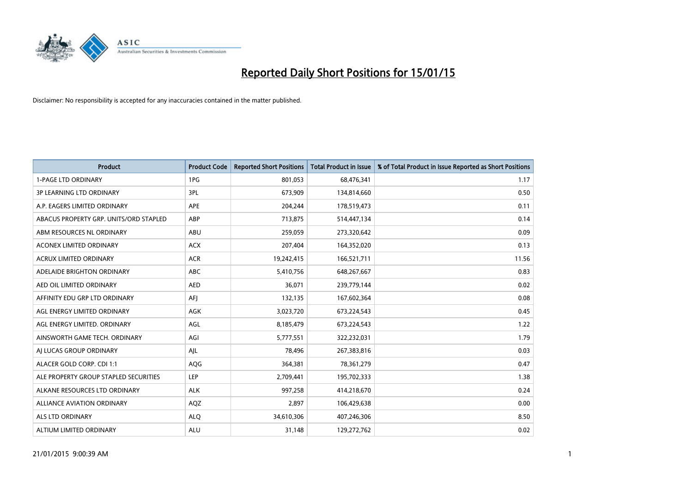

| <b>Product</b>                         | <b>Product Code</b> | <b>Reported Short Positions</b> | <b>Total Product in Issue</b> | % of Total Product in Issue Reported as Short Positions |
|----------------------------------------|---------------------|---------------------------------|-------------------------------|---------------------------------------------------------|
| <b>1-PAGE LTD ORDINARY</b>             | 1PG                 | 801,053                         | 68,476,341                    | 1.17                                                    |
| 3P LEARNING LTD ORDINARY               | 3PL                 | 673,909                         | 134,814,660                   | 0.50                                                    |
| A.P. EAGERS LIMITED ORDINARY           | <b>APE</b>          | 204,244                         | 178,519,473                   | 0.11                                                    |
| ABACUS PROPERTY GRP. UNITS/ORD STAPLED | ABP                 | 713,875                         | 514,447,134                   | 0.14                                                    |
| ABM RESOURCES NL ORDINARY              | ABU                 | 259,059                         | 273,320,642                   | 0.09                                                    |
| <b>ACONEX LIMITED ORDINARY</b>         | <b>ACX</b>          | 207,404                         | 164,352,020                   | 0.13                                                    |
| <b>ACRUX LIMITED ORDINARY</b>          | <b>ACR</b>          | 19,242,415                      | 166,521,711                   | 11.56                                                   |
| ADELAIDE BRIGHTON ORDINARY             | ABC                 | 5,410,756                       | 648,267,667                   | 0.83                                                    |
| AED OIL LIMITED ORDINARY               | <b>AED</b>          | 36,071                          | 239,779,144                   | 0.02                                                    |
| AFFINITY EDU GRP LTD ORDINARY          | AFI                 | 132,135                         | 167,602,364                   | 0.08                                                    |
| AGL ENERGY LIMITED ORDINARY            | AGK                 | 3,023,720                       | 673,224,543                   | 0.45                                                    |
| AGL ENERGY LIMITED. ORDINARY           | AGL                 | 8,185,479                       | 673,224,543                   | 1.22                                                    |
| AINSWORTH GAME TECH. ORDINARY          | AGI                 | 5,777,551                       | 322,232,031                   | 1.79                                                    |
| AI LUCAS GROUP ORDINARY                | AJL                 | 78,496                          | 267,383,816                   | 0.03                                                    |
| ALACER GOLD CORP. CDI 1:1              | AQG                 | 364,381                         | 78,361,279                    | 0.47                                                    |
| ALE PROPERTY GROUP STAPLED SECURITIES  | <b>LEP</b>          | 2,709,441                       | 195,702,333                   | 1.38                                                    |
| ALKANE RESOURCES LTD ORDINARY          | <b>ALK</b>          | 997,258                         | 414,218,670                   | 0.24                                                    |
| ALLIANCE AVIATION ORDINARY             | AQZ                 | 2,897                           | 106,429,638                   | 0.00                                                    |
| ALS LTD ORDINARY                       | <b>ALO</b>          | 34,610,306                      | 407,246,306                   | 8.50                                                    |
| ALTIUM LIMITED ORDINARY                | <b>ALU</b>          | 31,148                          | 129,272,762                   | 0.02                                                    |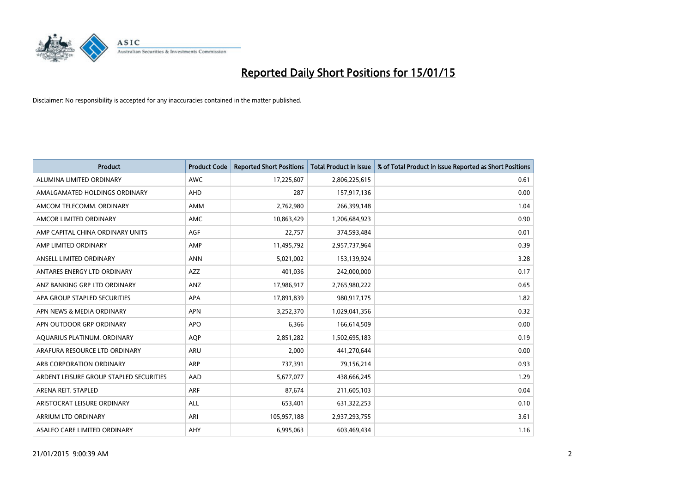

| <b>Product</b>                          | <b>Product Code</b> | <b>Reported Short Positions</b> | <b>Total Product in Issue</b> | % of Total Product in Issue Reported as Short Positions |
|-----------------------------------------|---------------------|---------------------------------|-------------------------------|---------------------------------------------------------|
| ALUMINA LIMITED ORDINARY                | <b>AWC</b>          | 17,225,607                      | 2,806,225,615                 | 0.61                                                    |
| AMALGAMATED HOLDINGS ORDINARY           | AHD                 | 287                             | 157,917,136                   | 0.00                                                    |
| AMCOM TELECOMM, ORDINARY                | AMM                 | 2,762,980                       | 266,399,148                   | 1.04                                                    |
| AMCOR LIMITED ORDINARY                  | AMC                 | 10,863,429                      | 1,206,684,923                 | 0.90                                                    |
| AMP CAPITAL CHINA ORDINARY UNITS        | AGF                 | 22,757                          | 374,593,484                   | 0.01                                                    |
| AMP LIMITED ORDINARY                    | AMP                 | 11,495,792                      | 2,957,737,964                 | 0.39                                                    |
| ANSELL LIMITED ORDINARY                 | <b>ANN</b>          | 5,021,002                       | 153,139,924                   | 3.28                                                    |
| ANTARES ENERGY LTD ORDINARY             | AZZ                 | 401,036                         | 242,000,000                   | 0.17                                                    |
| ANZ BANKING GRP LTD ORDINARY            | ANZ                 | 17,986,917                      | 2,765,980,222                 | 0.65                                                    |
| APA GROUP STAPLED SECURITIES            | <b>APA</b>          | 17,891,839                      | 980,917,175                   | 1.82                                                    |
| APN NEWS & MEDIA ORDINARY               | <b>APN</b>          | 3,252,370                       | 1,029,041,356                 | 0.32                                                    |
| APN OUTDOOR GRP ORDINARY                | <b>APO</b>          | 6,366                           | 166,614,509                   | 0.00                                                    |
| AQUARIUS PLATINUM. ORDINARY             | <b>AOP</b>          | 2,851,282                       | 1,502,695,183                 | 0.19                                                    |
| ARAFURA RESOURCE LTD ORDINARY           | ARU                 | 2,000                           | 441,270,644                   | 0.00                                                    |
| ARB CORPORATION ORDINARY                | <b>ARP</b>          | 737,391                         | 79,156,214                    | 0.93                                                    |
| ARDENT LEISURE GROUP STAPLED SECURITIES | AAD                 | 5,677,077                       | 438,666,245                   | 1.29                                                    |
| ARENA REIT. STAPLED                     | <b>ARF</b>          | 87,674                          | 211,605,103                   | 0.04                                                    |
| ARISTOCRAT LEISURE ORDINARY             | <b>ALL</b>          | 653,401                         | 631,322,253                   | 0.10                                                    |
| ARRIUM LTD ORDINARY                     | ARI                 | 105,957,188                     | 2,937,293,755                 | 3.61                                                    |
| ASALEO CARE LIMITED ORDINARY            | AHY                 | 6,995,063                       | 603,469,434                   | 1.16                                                    |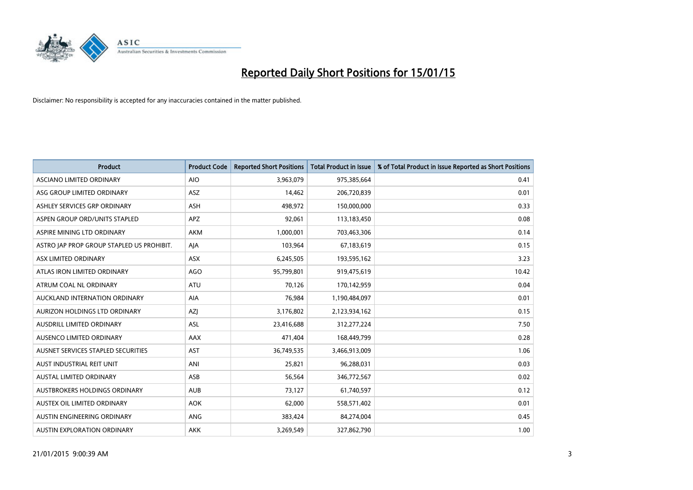

| <b>Product</b>                            | <b>Product Code</b> | <b>Reported Short Positions</b> | <b>Total Product in Issue</b> | % of Total Product in Issue Reported as Short Positions |
|-------------------------------------------|---------------------|---------------------------------|-------------------------------|---------------------------------------------------------|
| ASCIANO LIMITED ORDINARY                  | <b>AIO</b>          | 3,963,079                       | 975,385,664                   | 0.41                                                    |
| ASG GROUP LIMITED ORDINARY                | ASZ                 | 14,462                          | 206,720,839                   | 0.01                                                    |
| ASHLEY SERVICES GRP ORDINARY              | <b>ASH</b>          | 498,972                         | 150,000,000                   | 0.33                                                    |
| ASPEN GROUP ORD/UNITS STAPLED             | APZ                 | 92,061                          | 113,183,450                   | 0.08                                                    |
| ASPIRE MINING LTD ORDINARY                | <b>AKM</b>          | 1,000,001                       | 703,463,306                   | 0.14                                                    |
| ASTRO JAP PROP GROUP STAPLED US PROHIBIT. | AJA                 | 103,964                         | 67,183,619                    | 0.15                                                    |
| ASX LIMITED ORDINARY                      | ASX                 | 6,245,505                       | 193,595,162                   | 3.23                                                    |
| ATLAS IRON LIMITED ORDINARY               | <b>AGO</b>          | 95,799,801                      | 919,475,619                   | 10.42                                                   |
| ATRUM COAL NL ORDINARY                    | <b>ATU</b>          | 70.126                          | 170,142,959                   | 0.04                                                    |
| AUCKLAND INTERNATION ORDINARY             | <b>AIA</b>          | 76,984                          | 1,190,484,097                 | 0.01                                                    |
| AURIZON HOLDINGS LTD ORDINARY             | AZJ                 | 3,176,802                       | 2,123,934,162                 | 0.15                                                    |
| AUSDRILL LIMITED ORDINARY                 | ASL                 | 23,416,688                      | 312,277,224                   | 7.50                                                    |
| AUSENCO LIMITED ORDINARY                  | AAX                 | 471,404                         | 168,449,799                   | 0.28                                                    |
| AUSNET SERVICES STAPLED SECURITIES        | AST                 | 36,749,535                      | 3,466,913,009                 | 1.06                                                    |
| AUST INDUSTRIAL REIT UNIT                 | ANI                 | 25,821                          | 96,288,031                    | 0.03                                                    |
| AUSTAL LIMITED ORDINARY                   | ASB                 | 56,564                          | 346,772,567                   | 0.02                                                    |
| AUSTBROKERS HOLDINGS ORDINARY             | <b>AUB</b>          | 73,127                          | 61,740,597                    | 0.12                                                    |
| AUSTEX OIL LIMITED ORDINARY               | <b>AOK</b>          | 62,000                          | 558,571,402                   | 0.01                                                    |
| AUSTIN ENGINEERING ORDINARY               | ANG                 | 383,424                         | 84,274,004                    | 0.45                                                    |
| AUSTIN EXPLORATION ORDINARY               | <b>AKK</b>          | 3,269,549                       | 327,862,790                   | 1.00                                                    |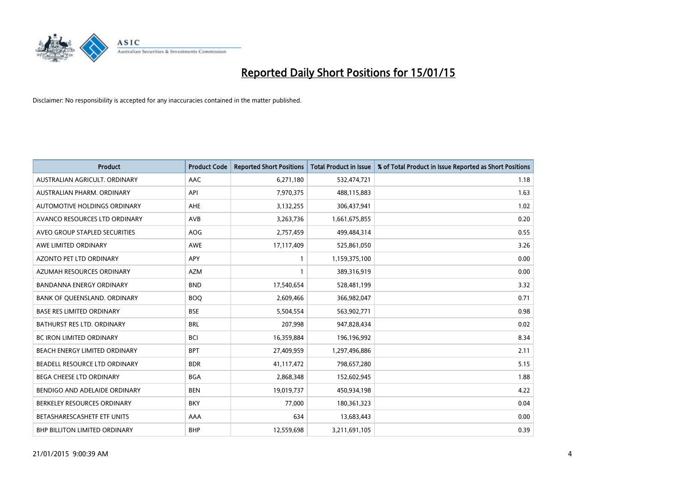

| <b>Product</b>                   | <b>Product Code</b> | <b>Reported Short Positions</b> | <b>Total Product in Issue</b> | % of Total Product in Issue Reported as Short Positions |
|----------------------------------|---------------------|---------------------------------|-------------------------------|---------------------------------------------------------|
| AUSTRALIAN AGRICULT, ORDINARY    | AAC                 | 6,271,180                       | 532,474,721                   | 1.18                                                    |
| AUSTRALIAN PHARM. ORDINARY       | API                 | 7,970,375                       | 488,115,883                   | 1.63                                                    |
| AUTOMOTIVE HOLDINGS ORDINARY     | AHE                 | 3,132,255                       | 306,437,941                   | 1.02                                                    |
| AVANCO RESOURCES LTD ORDINARY    | AVB                 | 3,263,736                       | 1,661,675,855                 | 0.20                                                    |
| AVEO GROUP STAPLED SECURITIES    | AOG                 | 2,757,459                       | 499,484,314                   | 0.55                                                    |
| AWE LIMITED ORDINARY             | AWE                 | 17,117,409                      | 525,861,050                   | 3.26                                                    |
| AZONTO PET LTD ORDINARY          | <b>APY</b>          |                                 | 1,159,375,100                 | 0.00                                                    |
| AZUMAH RESOURCES ORDINARY        | <b>AZM</b>          | 1                               | 389,316,919                   | 0.00                                                    |
| <b>BANDANNA ENERGY ORDINARY</b>  | <b>BND</b>          | 17,540,654                      | 528,481,199                   | 3.32                                                    |
| BANK OF QUEENSLAND. ORDINARY     | <b>BOQ</b>          | 2,609,466                       | 366,982,047                   | 0.71                                                    |
| <b>BASE RES LIMITED ORDINARY</b> | <b>BSE</b>          | 5,504,554                       | 563,902,771                   | 0.98                                                    |
| BATHURST RES LTD. ORDINARY       | <b>BRL</b>          | 207,998                         | 947,828,434                   | 0.02                                                    |
| <b>BC IRON LIMITED ORDINARY</b>  | <b>BCI</b>          | 16,359,884                      | 196,196,992                   | 8.34                                                    |
| BEACH ENERGY LIMITED ORDINARY    | <b>BPT</b>          | 27,409,959                      | 1,297,496,886                 | 2.11                                                    |
| BEADELL RESOURCE LTD ORDINARY    | <b>BDR</b>          | 41,117,472                      | 798,657,280                   | 5.15                                                    |
| BEGA CHEESE LTD ORDINARY         | <b>BGA</b>          | 2,868,348                       | 152,602,945                   | 1.88                                                    |
| BENDIGO AND ADELAIDE ORDINARY    | <b>BEN</b>          | 19,019,737                      | 450,934,198                   | 4.22                                                    |
| BERKELEY RESOURCES ORDINARY      | <b>BKY</b>          | 77,000                          | 180,361,323                   | 0.04                                                    |
| BETASHARESCASHETF ETF UNITS      | AAA                 | 634                             | 13,683,443                    | 0.00                                                    |
| BHP BILLITON LIMITED ORDINARY    | <b>BHP</b>          | 12,559,698                      | 3,211,691,105                 | 0.39                                                    |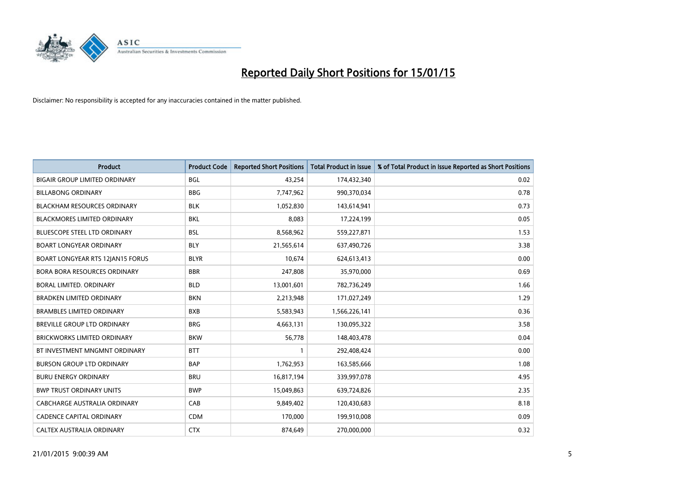

| <b>Product</b>                       | <b>Product Code</b> | <b>Reported Short Positions</b> | <b>Total Product in Issue</b> | % of Total Product in Issue Reported as Short Positions |
|--------------------------------------|---------------------|---------------------------------|-------------------------------|---------------------------------------------------------|
| <b>BIGAIR GROUP LIMITED ORDINARY</b> | <b>BGL</b>          | 43,254                          | 174,432,340                   | 0.02                                                    |
| <b>BILLABONG ORDINARY</b>            | <b>BBG</b>          | 7,747,962                       | 990,370,034                   | 0.78                                                    |
| <b>BLACKHAM RESOURCES ORDINARY</b>   | <b>BLK</b>          | 1,052,830                       | 143,614,941                   | 0.73                                                    |
| <b>BLACKMORES LIMITED ORDINARY</b>   | <b>BKL</b>          | 8,083                           | 17,224,199                    | 0.05                                                    |
| <b>BLUESCOPE STEEL LTD ORDINARY</b>  | <b>BSL</b>          | 8,568,962                       | 559,227,871                   | 1.53                                                    |
| <b>BOART LONGYEAR ORDINARY</b>       | <b>BLY</b>          | 21,565,614                      | 637,490,726                   | 3.38                                                    |
| BOART LONGYEAR RTS 12JAN15 FORUS     | <b>BLYR</b>         | 10,674                          | 624,613,413                   | 0.00                                                    |
| <b>BORA BORA RESOURCES ORDINARY</b>  | <b>BBR</b>          | 247,808                         | 35,970,000                    | 0.69                                                    |
| <b>BORAL LIMITED, ORDINARY</b>       | <b>BLD</b>          | 13,001,601                      | 782,736,249                   | 1.66                                                    |
| <b>BRADKEN LIMITED ORDINARY</b>      | <b>BKN</b>          | 2,213,948                       | 171,027,249                   | 1.29                                                    |
| <b>BRAMBLES LIMITED ORDINARY</b>     | <b>BXB</b>          | 5,583,943                       | 1,566,226,141                 | 0.36                                                    |
| <b>BREVILLE GROUP LTD ORDINARY</b>   | <b>BRG</b>          | 4,663,131                       | 130,095,322                   | 3.58                                                    |
| <b>BRICKWORKS LIMITED ORDINARY</b>   | <b>BKW</b>          | 56,778                          | 148,403,478                   | 0.04                                                    |
| BT INVESTMENT MNGMNT ORDINARY        | <b>BTT</b>          | $\mathbf{1}$                    | 292,408,424                   | 0.00                                                    |
| <b>BURSON GROUP LTD ORDINARY</b>     | <b>BAP</b>          | 1,762,953                       | 163,585,666                   | 1.08                                                    |
| <b>BURU ENERGY ORDINARY</b>          | <b>BRU</b>          | 16,817,194                      | 339,997,078                   | 4.95                                                    |
| <b>BWP TRUST ORDINARY UNITS</b>      | <b>BWP</b>          | 15,049,863                      | 639,724,826                   | 2.35                                                    |
| <b>CABCHARGE AUSTRALIA ORDINARY</b>  | CAB                 | 9,849,402                       | 120,430,683                   | 8.18                                                    |
| <b>CADENCE CAPITAL ORDINARY</b>      | <b>CDM</b>          | 170,000                         | 199,910,008                   | 0.09                                                    |
| CALTEX AUSTRALIA ORDINARY            | <b>CTX</b>          | 874,649                         | 270,000,000                   | 0.32                                                    |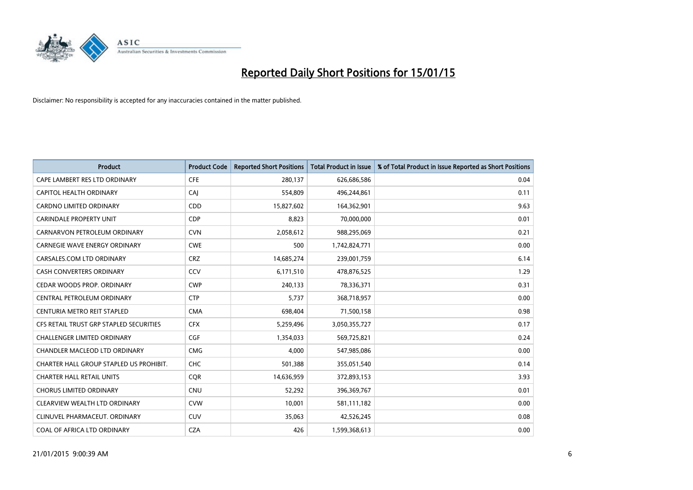

| <b>Product</b>                          | <b>Product Code</b> | <b>Reported Short Positions</b> | <b>Total Product in Issue</b> | % of Total Product in Issue Reported as Short Positions |
|-----------------------------------------|---------------------|---------------------------------|-------------------------------|---------------------------------------------------------|
| CAPE LAMBERT RES LTD ORDINARY           | <b>CFE</b>          | 280,137                         | 626,686,586                   | 0.04                                                    |
| CAPITOL HEALTH ORDINARY                 | CAI                 | 554,809                         | 496,244,861                   | 0.11                                                    |
| <b>CARDNO LIMITED ORDINARY</b>          | CDD                 | 15,827,602                      | 164,362,901                   | 9.63                                                    |
| CARINDALE PROPERTY UNIT                 | <b>CDP</b>          | 8,823                           | 70,000,000                    | 0.01                                                    |
| CARNARVON PETROLEUM ORDINARY            | <b>CVN</b>          | 2,058,612                       | 988,295,069                   | 0.21                                                    |
| <b>CARNEGIE WAVE ENERGY ORDINARY</b>    | <b>CWE</b>          | 500                             | 1,742,824,771                 | 0.00                                                    |
| CARSALES.COM LTD ORDINARY               | <b>CRZ</b>          | 14,685,274                      | 239,001,759                   | 6.14                                                    |
| CASH CONVERTERS ORDINARY                | CCV                 | 6,171,510                       | 478,876,525                   | 1.29                                                    |
| CEDAR WOODS PROP. ORDINARY              | <b>CWP</b>          | 240,133                         | 78,336,371                    | 0.31                                                    |
| CENTRAL PETROLEUM ORDINARY              | <b>CTP</b>          | 5,737                           | 368,718,957                   | 0.00                                                    |
| CENTURIA METRO REIT STAPLED             | <b>CMA</b>          | 698,404                         | 71,500,158                    | 0.98                                                    |
| CFS RETAIL TRUST GRP STAPLED SECURITIES | <b>CFX</b>          | 5,259,496                       | 3,050,355,727                 | 0.17                                                    |
| <b>CHALLENGER LIMITED ORDINARY</b>      | <b>CGF</b>          | 1,354,033                       | 569,725,821                   | 0.24                                                    |
| CHANDLER MACLEOD LTD ORDINARY           | <b>CMG</b>          | 4,000                           | 547,985,086                   | 0.00                                                    |
| CHARTER HALL GROUP STAPLED US PROHIBIT. | CHC                 | 501,388                         | 355,051,540                   | 0.14                                                    |
| <b>CHARTER HALL RETAIL UNITS</b>        | <b>COR</b>          | 14,636,959                      | 372,893,153                   | 3.93                                                    |
| <b>CHORUS LIMITED ORDINARY</b>          | <b>CNU</b>          | 52,292                          | 396,369,767                   | 0.01                                                    |
| CLEARVIEW WEALTH LTD ORDINARY           | <b>CVW</b>          | 10,001                          | 581,111,182                   | 0.00                                                    |
| CLINUVEL PHARMACEUT, ORDINARY           | <b>CUV</b>          | 35,063                          | 42,526,245                    | 0.08                                                    |
| COAL OF AFRICA LTD ORDINARY             | <b>CZA</b>          | 426                             | 1,599,368,613                 | 0.00                                                    |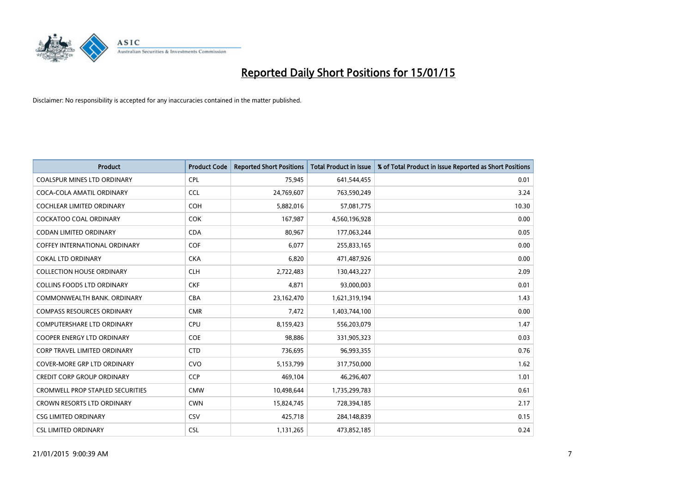

| <b>Product</b>                          | <b>Product Code</b> | <b>Reported Short Positions</b> | <b>Total Product in Issue</b> | % of Total Product in Issue Reported as Short Positions |
|-----------------------------------------|---------------------|---------------------------------|-------------------------------|---------------------------------------------------------|
| <b>COALSPUR MINES LTD ORDINARY</b>      | <b>CPL</b>          | 75,945                          | 641,544,455                   | 0.01                                                    |
| COCA-COLA AMATIL ORDINARY               | <b>CCL</b>          | 24,769,607                      | 763,590,249                   | 3.24                                                    |
| COCHLEAR LIMITED ORDINARY               | <b>COH</b>          | 5,882,016                       | 57,081,775                    | 10.30                                                   |
| <b>COCKATOO COAL ORDINARY</b>           | <b>COK</b>          | 167,987                         | 4,560,196,928                 | 0.00                                                    |
| <b>CODAN LIMITED ORDINARY</b>           | <b>CDA</b>          | 80,967                          | 177,063,244                   | 0.05                                                    |
| <b>COFFEY INTERNATIONAL ORDINARY</b>    | COF                 | 6,077                           | 255,833,165                   | 0.00                                                    |
| <b>COKAL LTD ORDINARY</b>               | <b>CKA</b>          | 6,820                           | 471,487,926                   | 0.00                                                    |
| <b>COLLECTION HOUSE ORDINARY</b>        | <b>CLH</b>          | 2,722,483                       | 130,443,227                   | 2.09                                                    |
| <b>COLLINS FOODS LTD ORDINARY</b>       | <b>CKF</b>          | 4,871                           | 93,000,003                    | 0.01                                                    |
| COMMONWEALTH BANK, ORDINARY             | <b>CBA</b>          | 23,162,470                      | 1,621,319,194                 | 1.43                                                    |
| <b>COMPASS RESOURCES ORDINARY</b>       | <b>CMR</b>          | 7,472                           | 1,403,744,100                 | 0.00                                                    |
| <b>COMPUTERSHARE LTD ORDINARY</b>       | <b>CPU</b>          | 8,159,423                       | 556,203,079                   | 1.47                                                    |
| <b>COOPER ENERGY LTD ORDINARY</b>       | <b>COE</b>          | 98,886                          | 331,905,323                   | 0.03                                                    |
| CORP TRAVEL LIMITED ORDINARY            | <b>CTD</b>          | 736,695                         | 96,993,355                    | 0.76                                                    |
| <b>COVER-MORE GRP LTD ORDINARY</b>      | <b>CVO</b>          | 5,153,799                       | 317,750,000                   | 1.62                                                    |
| <b>CREDIT CORP GROUP ORDINARY</b>       | <b>CCP</b>          | 469,104                         | 46,296,407                    | 1.01                                                    |
| <b>CROMWELL PROP STAPLED SECURITIES</b> | <b>CMW</b>          | 10,498,644                      | 1,735,299,783                 | 0.61                                                    |
| CROWN RESORTS LTD ORDINARY              | <b>CWN</b>          | 15,824,745                      | 728,394,185                   | 2.17                                                    |
| <b>CSG LIMITED ORDINARY</b>             | CSV                 | 425,718                         | 284,148,839                   | 0.15                                                    |
| <b>CSL LIMITED ORDINARY</b>             | <b>CSL</b>          | 1,131,265                       | 473,852,185                   | 0.24                                                    |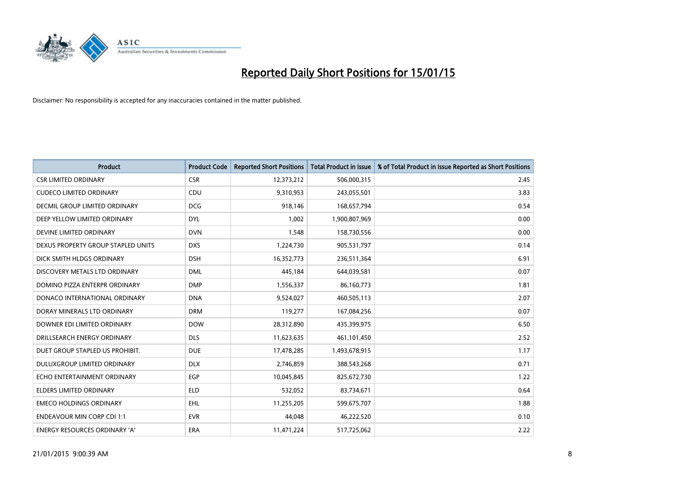

| <b>Product</b>                     | <b>Product Code</b> | <b>Reported Short Positions</b> | <b>Total Product in Issue</b> | % of Total Product in Issue Reported as Short Positions |
|------------------------------------|---------------------|---------------------------------|-------------------------------|---------------------------------------------------------|
| <b>CSR LIMITED ORDINARY</b>        | <b>CSR</b>          | 12,373,212                      | 506,000,315                   | 2.45                                                    |
| <b>CUDECO LIMITED ORDINARY</b>     | <b>CDU</b>          | 9,310,953                       | 243,055,501                   | 3.83                                                    |
| DECMIL GROUP LIMITED ORDINARY      | <b>DCG</b>          | 918,146                         | 168,657,794                   | 0.54                                                    |
| DEEP YELLOW LIMITED ORDINARY       | <b>DYL</b>          | 1,002                           | 1,900,807,969                 | 0.00                                                    |
| DEVINE LIMITED ORDINARY            | <b>DVN</b>          | 1,548                           | 158,730,556                   | 0.00                                                    |
| DEXUS PROPERTY GROUP STAPLED UNITS | <b>DXS</b>          | 1,224,730                       | 905,531,797                   | 0.14                                                    |
| DICK SMITH HLDGS ORDINARY          | <b>DSH</b>          | 16,352,773                      | 236,511,364                   | 6.91                                                    |
| DISCOVERY METALS LTD ORDINARY      | <b>DML</b>          | 445,184                         | 644,039,581                   | 0.07                                                    |
| DOMINO PIZZA ENTERPR ORDINARY      | <b>DMP</b>          | 1,556,337                       | 86,160,773                    | 1.81                                                    |
| DONACO INTERNATIONAL ORDINARY      | <b>DNA</b>          | 9,524,027                       | 460,505,113                   | 2.07                                                    |
| DORAY MINERALS LTD ORDINARY        | <b>DRM</b>          | 119,277                         | 167,084,256                   | 0.07                                                    |
| DOWNER EDI LIMITED ORDINARY        | <b>DOW</b>          | 28,312,890                      | 435,399,975                   | 6.50                                                    |
| DRILLSEARCH ENERGY ORDINARY        | <b>DLS</b>          | 11,623,635                      | 461,101,450                   | 2.52                                                    |
| DUET GROUP STAPLED US PROHIBIT.    | <b>DUE</b>          | 17,478,285                      | 1,493,678,915                 | 1.17                                                    |
| DULUXGROUP LIMITED ORDINARY        | <b>DLX</b>          | 2,746,859                       | 388,543,268                   | 0.71                                                    |
| ECHO ENTERTAINMENT ORDINARY        | EGP                 | 10,045,845                      | 825,672,730                   | 1.22                                                    |
| ELDERS LIMITED ORDINARY            | <b>ELD</b>          | 532,052                         | 83,734,671                    | 0.64                                                    |
| <b>EMECO HOLDINGS ORDINARY</b>     | <b>EHL</b>          | 11,255,205                      | 599,675,707                   | 1.88                                                    |
| <b>ENDEAVOUR MIN CORP CDI 1:1</b>  | <b>EVR</b>          | 44,048                          | 46,222,520                    | 0.10                                                    |
| ENERGY RESOURCES ORDINARY 'A'      | ERA                 | 11,471,224                      | 517,725,062                   | 2.22                                                    |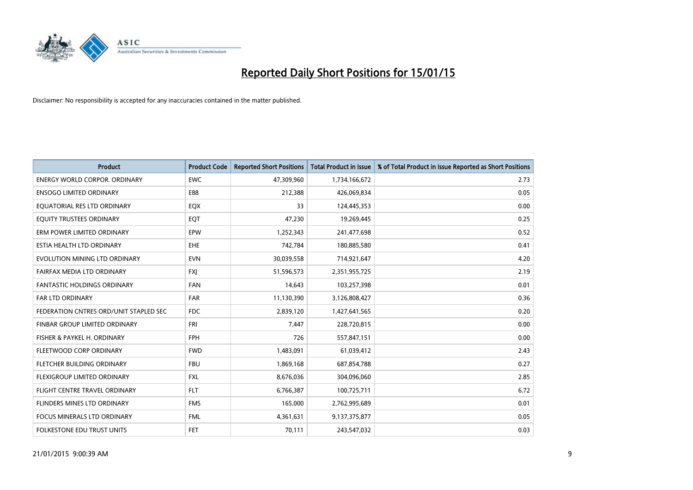

| <b>Product</b>                         | <b>Product Code</b> | <b>Reported Short Positions</b> | <b>Total Product in Issue</b> | % of Total Product in Issue Reported as Short Positions |
|----------------------------------------|---------------------|---------------------------------|-------------------------------|---------------------------------------------------------|
| <b>ENERGY WORLD CORPOR, ORDINARY</b>   | <b>EWC</b>          | 47,309,960                      | 1,734,166,672                 | 2.73                                                    |
| <b>ENSOGO LIMITED ORDINARY</b>         | E88                 | 212,388                         | 426,069,834                   | 0.05                                                    |
| EQUATORIAL RES LTD ORDINARY            | EQX                 | 33                              | 124,445,353                   | 0.00                                                    |
| EQUITY TRUSTEES ORDINARY               | EQT                 | 47,230                          | 19,269,445                    | 0.25                                                    |
| ERM POWER LIMITED ORDINARY             | EPW                 | 1,252,343                       | 241,477,698                   | 0.52                                                    |
| ESTIA HEALTH LTD ORDINARY              | <b>EHE</b>          | 742,784                         | 180,885,580                   | 0.41                                                    |
| EVOLUTION MINING LTD ORDINARY          | <b>EVN</b>          | 30,039,558                      | 714,921,647                   | 4.20                                                    |
| FAIRFAX MEDIA LTD ORDINARY             | <b>FXJ</b>          | 51,596,573                      | 2,351,955,725                 | 2.19                                                    |
| <b>FANTASTIC HOLDINGS ORDINARY</b>     | <b>FAN</b>          | 14,643                          | 103,257,398                   | 0.01                                                    |
| FAR LTD ORDINARY                       | <b>FAR</b>          | 11,130,390                      | 3,126,808,427                 | 0.36                                                    |
| FEDERATION CNTRES ORD/UNIT STAPLED SEC | <b>FDC</b>          | 2,839,120                       | 1,427,641,565                 | 0.20                                                    |
| FINBAR GROUP LIMITED ORDINARY          | <b>FRI</b>          | 7.447                           | 228,720,815                   | 0.00                                                    |
| FISHER & PAYKEL H. ORDINARY            | <b>FPH</b>          | 726                             | 557,847,151                   | 0.00                                                    |
| FLEETWOOD CORP ORDINARY                | <b>FWD</b>          | 1,483,091                       | 61,039,412                    | 2.43                                                    |
| FLETCHER BUILDING ORDINARY             | <b>FBU</b>          | 1,869,168                       | 687,854,788                   | 0.27                                                    |
| <b>FLEXIGROUP LIMITED ORDINARY</b>     | <b>FXL</b>          | 8,676,036                       | 304,096,060                   | 2.85                                                    |
| FLIGHT CENTRE TRAVEL ORDINARY          | <b>FLT</b>          | 6,766,387                       | 100,725,711                   | 6.72                                                    |
| FLINDERS MINES LTD ORDINARY            | <b>FMS</b>          | 165,000                         | 2,762,995,689                 | 0.01                                                    |
| <b>FOCUS MINERALS LTD ORDINARY</b>     | <b>FML</b>          | 4,361,631                       | 9,137,375,877                 | 0.05                                                    |
| FOLKESTONE EDU TRUST UNITS             | <b>FET</b>          | 70,111                          | 243,547,032                   | 0.03                                                    |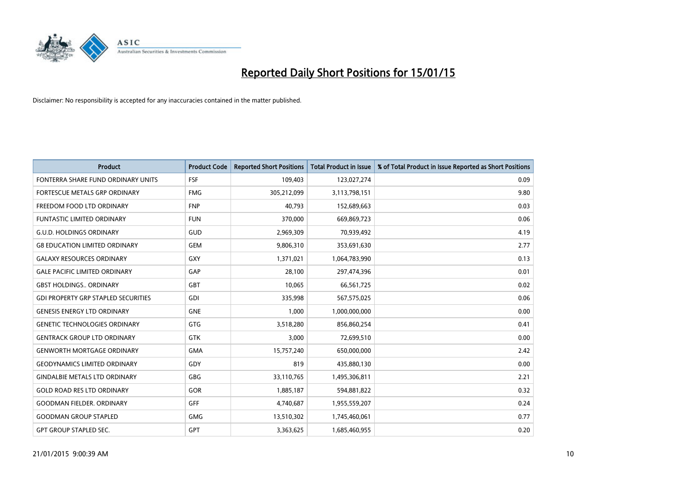

| <b>Product</b>                             | <b>Product Code</b> | <b>Reported Short Positions</b> | <b>Total Product in Issue</b> | % of Total Product in Issue Reported as Short Positions |
|--------------------------------------------|---------------------|---------------------------------|-------------------------------|---------------------------------------------------------|
| FONTERRA SHARE FUND ORDINARY UNITS         | <b>FSF</b>          | 109,403                         | 123,027,274                   | 0.09                                                    |
| FORTESCUE METALS GRP ORDINARY              | <b>FMG</b>          | 305,212,099                     | 3,113,798,151                 | 9.80                                                    |
| FREEDOM FOOD LTD ORDINARY                  | <b>FNP</b>          | 40,793                          | 152,689,663                   | 0.03                                                    |
| <b>FUNTASTIC LIMITED ORDINARY</b>          | <b>FUN</b>          | 370,000                         | 669,869,723                   | 0.06                                                    |
| <b>G.U.D. HOLDINGS ORDINARY</b>            | GUD                 | 2,969,309                       | 70,939,492                    | 4.19                                                    |
| <b>G8 EDUCATION LIMITED ORDINARY</b>       | <b>GEM</b>          | 9,806,310                       | 353,691,630                   | 2.77                                                    |
| <b>GALAXY RESOURCES ORDINARY</b>           | <b>GXY</b>          | 1,371,021                       | 1,064,783,990                 | 0.13                                                    |
| <b>GALE PACIFIC LIMITED ORDINARY</b>       | GAP                 | 28,100                          | 297,474,396                   | 0.01                                                    |
| <b>GBST HOLDINGS ORDINARY</b>              | GBT                 | 10,065                          | 66,561,725                    | 0.02                                                    |
| <b>GDI PROPERTY GRP STAPLED SECURITIES</b> | GDI                 | 335,998                         | 567,575,025                   | 0.06                                                    |
| <b>GENESIS ENERGY LTD ORDINARY</b>         | <b>GNE</b>          | 1,000                           | 1,000,000,000                 | 0.00                                                    |
| <b>GENETIC TECHNOLOGIES ORDINARY</b>       | GTG                 | 3,518,280                       | 856,860,254                   | 0.41                                                    |
| <b>GENTRACK GROUP LTD ORDINARY</b>         | <b>GTK</b>          | 3,000                           | 72,699,510                    | 0.00                                                    |
| <b>GENWORTH MORTGAGE ORDINARY</b>          | <b>GMA</b>          | 15,757,240                      | 650,000,000                   | 2.42                                                    |
| <b>GEODYNAMICS LIMITED ORDINARY</b>        | GDY                 | 819                             | 435,880,130                   | 0.00                                                    |
| <b>GINDALBIE METALS LTD ORDINARY</b>       | GBG                 | 33,110,765                      | 1,495,306,811                 | 2.21                                                    |
| <b>GOLD ROAD RES LTD ORDINARY</b>          | GOR                 | 1,885,187                       | 594,881,822                   | 0.32                                                    |
| <b>GOODMAN FIELDER, ORDINARY</b>           | <b>GFF</b>          | 4,740,687                       | 1,955,559,207                 | 0.24                                                    |
| <b>GOODMAN GROUP STAPLED</b>               | <b>GMG</b>          | 13,510,302                      | 1,745,460,061                 | 0.77                                                    |
| <b>GPT GROUP STAPLED SEC.</b>              | GPT                 | 3,363,625                       | 1,685,460,955                 | 0.20                                                    |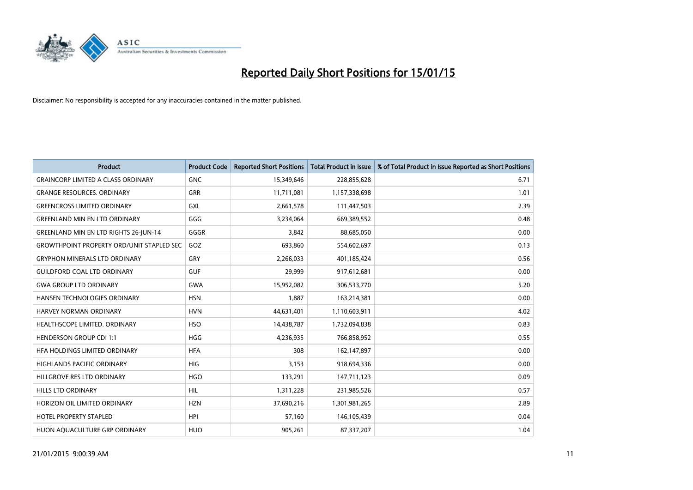

| <b>Product</b>                                   | <b>Product Code</b> | <b>Reported Short Positions</b> | <b>Total Product in Issue</b> | % of Total Product in Issue Reported as Short Positions |
|--------------------------------------------------|---------------------|---------------------------------|-------------------------------|---------------------------------------------------------|
| <b>GRAINCORP LIMITED A CLASS ORDINARY</b>        | <b>GNC</b>          | 15,349,646                      | 228,855,628                   | 6.71                                                    |
| <b>GRANGE RESOURCES. ORDINARY</b>                | GRR                 | 11,711,081                      | 1,157,338,698                 | 1.01                                                    |
| <b>GREENCROSS LIMITED ORDINARY</b>               | GXL                 | 2,661,578                       | 111,447,503                   | 2.39                                                    |
| <b>GREENLAND MIN EN LTD ORDINARY</b>             | GGG                 | 3,234,064                       | 669,389,552                   | 0.48                                                    |
| <b>GREENLAND MIN EN LTD RIGHTS 26-JUN-14</b>     | GGGR                | 3,842                           | 88,685,050                    | 0.00                                                    |
| <b>GROWTHPOINT PROPERTY ORD/UNIT STAPLED SEC</b> | GOZ                 | 693,860                         | 554,602,697                   | 0.13                                                    |
| <b>GRYPHON MINERALS LTD ORDINARY</b>             | GRY                 | 2,266,033                       | 401,185,424                   | 0.56                                                    |
| <b>GUILDFORD COAL LTD ORDINARY</b>               | <b>GUF</b>          | 29,999                          | 917,612,681                   | 0.00                                                    |
| <b>GWA GROUP LTD ORDINARY</b>                    | <b>GWA</b>          | 15,952,082                      | 306,533,770                   | 5.20                                                    |
| HANSEN TECHNOLOGIES ORDINARY                     | <b>HSN</b>          | 1,887                           | 163,214,381                   | 0.00                                                    |
| <b>HARVEY NORMAN ORDINARY</b>                    | <b>HVN</b>          | 44,631,401                      | 1,110,603,911                 | 4.02                                                    |
| HEALTHSCOPE LIMITED. ORDINARY                    | <b>HSO</b>          | 14,438,787                      | 1,732,094,838                 | 0.83                                                    |
| <b>HENDERSON GROUP CDI 1:1</b>                   | <b>HGG</b>          | 4,236,935                       | 766,858,952                   | 0.55                                                    |
| HFA HOLDINGS LIMITED ORDINARY                    | <b>HFA</b>          | 308                             | 162,147,897                   | 0.00                                                    |
| <b>HIGHLANDS PACIFIC ORDINARY</b>                | <b>HIG</b>          | 3,153                           | 918,694,336                   | 0.00                                                    |
| HILLGROVE RES LTD ORDINARY                       | <b>HGO</b>          | 133,291                         | 147,711,123                   | 0.09                                                    |
| HILLS LTD ORDINARY                               | HIL                 | 1,311,228                       | 231,985,526                   | 0.57                                                    |
| HORIZON OIL LIMITED ORDINARY                     | <b>HZN</b>          | 37,690,216                      | 1,301,981,265                 | 2.89                                                    |
| <b>HOTEL PROPERTY STAPLED</b>                    | <b>HPI</b>          | 57,160                          | 146,105,439                   | 0.04                                                    |
| HUON AQUACULTURE GRP ORDINARY                    | <b>HUO</b>          | 905,261                         | 87,337,207                    | 1.04                                                    |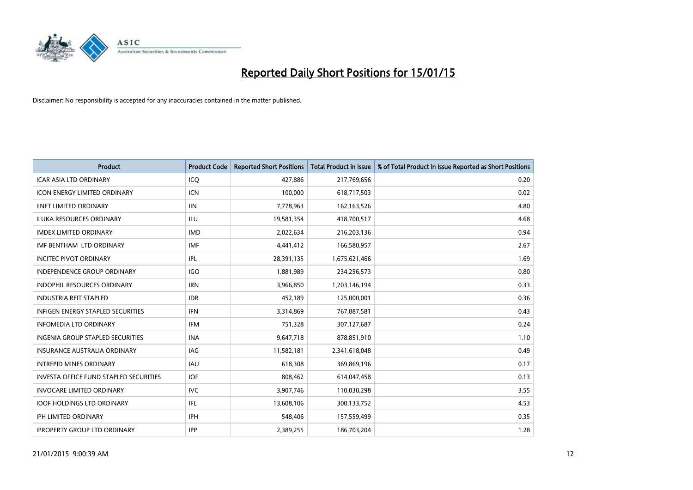

| <b>Product</b>                         | <b>Product Code</b> | <b>Reported Short Positions</b> | <b>Total Product in Issue</b> | % of Total Product in Issue Reported as Short Positions |
|----------------------------------------|---------------------|---------------------------------|-------------------------------|---------------------------------------------------------|
| <b>ICAR ASIA LTD ORDINARY</b>          | ICQ                 | 427,886                         | 217,769,656                   | 0.20                                                    |
| ICON ENERGY LIMITED ORDINARY           | <b>ICN</b>          | 100,000                         | 618,717,503                   | 0.02                                                    |
| <b>IINET LIMITED ORDINARY</b>          | <b>IIN</b>          | 7,778,963                       | 162, 163, 526                 | 4.80                                                    |
| ILUKA RESOURCES ORDINARY               | ILU                 | 19,581,354                      | 418,700,517                   | 4.68                                                    |
| <b>IMDEX LIMITED ORDINARY</b>          | <b>IMD</b>          | 2,022,634                       | 216,203,136                   | 0.94                                                    |
| IMF BENTHAM LTD ORDINARY               | <b>IMF</b>          | 4,441,412                       | 166,580,957                   | 2.67                                                    |
| <b>INCITEC PIVOT ORDINARY</b>          | <b>IPL</b>          | 28,391,135                      | 1,675,621,466                 | 1.69                                                    |
| <b>INDEPENDENCE GROUP ORDINARY</b>     | <b>IGO</b>          | 1,881,989                       | 234,256,573                   | 0.80                                                    |
| INDOPHIL RESOURCES ORDINARY            | <b>IRN</b>          | 3,966,850                       | 1,203,146,194                 | 0.33                                                    |
| <b>INDUSTRIA REIT STAPLED</b>          | <b>IDR</b>          | 452,189                         | 125,000,001                   | 0.36                                                    |
| INFIGEN ENERGY STAPLED SECURITIES      | <b>IFN</b>          | 3,314,869                       | 767,887,581                   | 0.43                                                    |
| <b>INFOMEDIA LTD ORDINARY</b>          | <b>IFM</b>          | 751,328                         | 307,127,687                   | 0.24                                                    |
| INGENIA GROUP STAPLED SECURITIES       | <b>INA</b>          | 9,647,718                       | 878,851,910                   | 1.10                                                    |
| <b>INSURANCE AUSTRALIA ORDINARY</b>    | <b>IAG</b>          | 11,582,181                      | 2,341,618,048                 | 0.49                                                    |
| <b>INTREPID MINES ORDINARY</b>         | <b>IAU</b>          | 618,308                         | 369,869,196                   | 0.17                                                    |
| INVESTA OFFICE FUND STAPLED SECURITIES | <b>IOF</b>          | 808,462                         | 614,047,458                   | 0.13                                                    |
| <b>INVOCARE LIMITED ORDINARY</b>       | <b>IVC</b>          | 3,907,746                       | 110,030,298                   | 3.55                                                    |
| <b>IOOF HOLDINGS LTD ORDINARY</b>      | IFL                 | 13,608,106                      | 300,133,752                   | 4.53                                                    |
| <b>IPH LIMITED ORDINARY</b>            | <b>IPH</b>          | 548,406                         | 157,559,499                   | 0.35                                                    |
| <b>IPROPERTY GROUP LTD ORDINARY</b>    | <b>IPP</b>          | 2,389,255                       | 186,703,204                   | 1.28                                                    |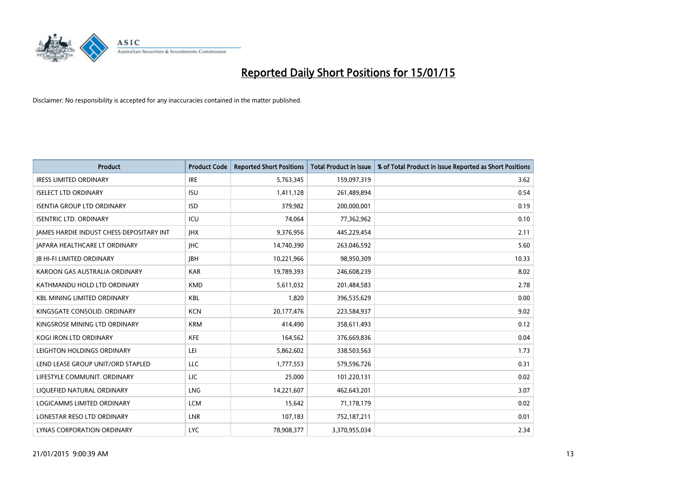

| <b>Product</b>                                  | <b>Product Code</b> | <b>Reported Short Positions</b> | <b>Total Product in Issue</b> | % of Total Product in Issue Reported as Short Positions |
|-------------------------------------------------|---------------------|---------------------------------|-------------------------------|---------------------------------------------------------|
| <b>IRESS LIMITED ORDINARY</b>                   | <b>IRE</b>          | 5,763,345                       | 159,097,319                   | 3.62                                                    |
| <b>ISELECT LTD ORDINARY</b>                     | <b>ISU</b>          | 1,411,128                       | 261,489,894                   | 0.54                                                    |
| <b>ISENTIA GROUP LTD ORDINARY</b>               | <b>ISD</b>          | 379,982                         | 200,000,001                   | 0.19                                                    |
| <b>ISENTRIC LTD. ORDINARY</b>                   | ICU                 | 74,064                          | 77,362,962                    | 0.10                                                    |
| <b>IAMES HARDIE INDUST CHESS DEPOSITARY INT</b> | <b>IHX</b>          | 9,376,956                       | 445,229,454                   | 2.11                                                    |
| JAPARA HEALTHCARE LT ORDINARY                   | <b>IHC</b>          | 14,740,390                      | 263,046,592                   | 5.60                                                    |
| <b>JB HI-FI LIMITED ORDINARY</b>                | <b>IBH</b>          | 10,221,966                      | 98,950,309                    | 10.33                                                   |
| KAROON GAS AUSTRALIA ORDINARY                   | <b>KAR</b>          | 19,789,393                      | 246,608,239                   | 8.02                                                    |
| KATHMANDU HOLD LTD ORDINARY                     | <b>KMD</b>          | 5,611,032                       | 201,484,583                   | 2.78                                                    |
| <b>KBL MINING LIMITED ORDINARY</b>              | <b>KBL</b>          | 1,820                           | 396,535,629                   | 0.00                                                    |
| KINGSGATE CONSOLID. ORDINARY                    | <b>KCN</b>          | 20,177,476                      | 223,584,937                   | 9.02                                                    |
| KINGSROSE MINING LTD ORDINARY                   | <b>KRM</b>          | 414,490                         | 358,611,493                   | 0.12                                                    |
| KOGI IRON LTD ORDINARY                          | <b>KFE</b>          | 164,562                         | 376,669,836                   | 0.04                                                    |
| LEIGHTON HOLDINGS ORDINARY                      | LEI                 | 5,862,602                       | 338,503,563                   | 1.73                                                    |
| LEND LEASE GROUP UNIT/ORD STAPLED               | LLC                 | 1,777,553                       | 579,596,726                   | 0.31                                                    |
| LIFESTYLE COMMUNIT. ORDINARY                    | LIC                 | 25,000                          | 101,220,131                   | 0.02                                                    |
| LIQUEFIED NATURAL ORDINARY                      | LNG                 | 14,221,607                      | 462,643,201                   | 3.07                                                    |
| LOGICAMMS LIMITED ORDINARY                      | <b>LCM</b>          | 15,642                          | 71,178,179                    | 0.02                                                    |
| LONESTAR RESO LTD ORDINARY                      | LNR                 | 107,183                         | 752,187,211                   | 0.01                                                    |
| LYNAS CORPORATION ORDINARY                      | <b>LYC</b>          | 78,908,377                      | 3,370,955,034                 | 2.34                                                    |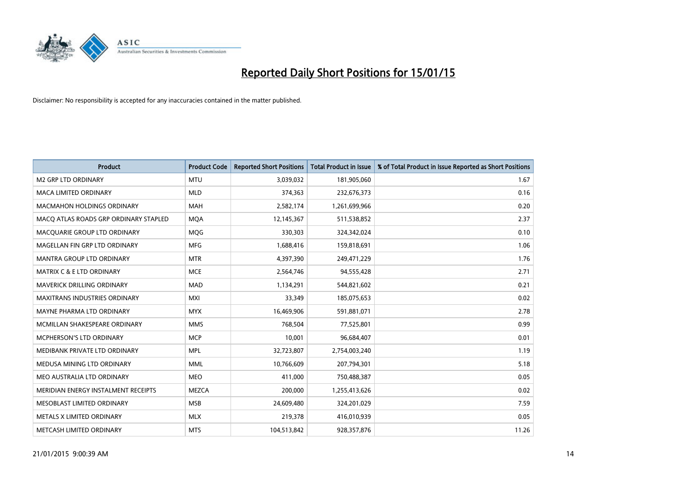

| <b>Product</b>                        | <b>Product Code</b> | <b>Reported Short Positions</b> | <b>Total Product in Issue</b> | % of Total Product in Issue Reported as Short Positions |
|---------------------------------------|---------------------|---------------------------------|-------------------------------|---------------------------------------------------------|
| <b>M2 GRP LTD ORDINARY</b>            | <b>MTU</b>          | 3,039,032                       | 181,905,060                   | 1.67                                                    |
| <b>MACA LIMITED ORDINARY</b>          | <b>MLD</b>          | 374,363                         | 232,676,373                   | 0.16                                                    |
| <b>MACMAHON HOLDINGS ORDINARY</b>     | MAH                 | 2,582,174                       | 1,261,699,966                 | 0.20                                                    |
| MACO ATLAS ROADS GRP ORDINARY STAPLED | <b>MOA</b>          | 12,145,367                      | 511,538,852                   | 2.37                                                    |
| MACOUARIE GROUP LTD ORDINARY          | <b>MOG</b>          | 330,303                         | 324,342,024                   | 0.10                                                    |
| MAGELLAN FIN GRP LTD ORDINARY         | <b>MFG</b>          | 1,688,416                       | 159,818,691                   | 1.06                                                    |
| MANTRA GROUP LTD ORDINARY             | <b>MTR</b>          | 4,397,390                       | 249,471,229                   | 1.76                                                    |
| <b>MATRIX C &amp; E LTD ORDINARY</b>  | <b>MCE</b>          | 2,564,746                       | 94,555,428                    | 2.71                                                    |
| MAVERICK DRILLING ORDINARY            | <b>MAD</b>          | 1,134,291                       | 544,821,602                   | 0.21                                                    |
| <b>MAXITRANS INDUSTRIES ORDINARY</b>  | <b>MXI</b>          | 33,349                          | 185,075,653                   | 0.02                                                    |
| MAYNE PHARMA LTD ORDINARY             | <b>MYX</b>          | 16,469,906                      | 591,881,071                   | 2.78                                                    |
| MCMILLAN SHAKESPEARE ORDINARY         | <b>MMS</b>          | 768,504                         | 77,525,801                    | 0.99                                                    |
| <b>MCPHERSON'S LTD ORDINARY</b>       | <b>MCP</b>          | 10,001                          | 96,684,407                    | 0.01                                                    |
| MEDIBANK PRIVATE LTD ORDINARY         | <b>MPL</b>          | 32,723,807                      | 2,754,003,240                 | 1.19                                                    |
| MEDUSA MINING LTD ORDINARY            | <b>MML</b>          | 10,766,609                      | 207,794,301                   | 5.18                                                    |
| MEO AUSTRALIA LTD ORDINARY            | <b>MEO</b>          | 411,000                         | 750,488,387                   | 0.05                                                    |
| MERIDIAN ENERGY INSTALMENT RECEIPTS   | <b>MEZCA</b>        | 200,000                         | 1,255,413,626                 | 0.02                                                    |
| MESOBLAST LIMITED ORDINARY            | <b>MSB</b>          | 24,609,480                      | 324,201,029                   | 7.59                                                    |
| METALS X LIMITED ORDINARY             | <b>MLX</b>          | 219,378                         | 416,010,939                   | 0.05                                                    |
| METCASH LIMITED ORDINARY              | <b>MTS</b>          | 104,513,842                     | 928,357,876                   | 11.26                                                   |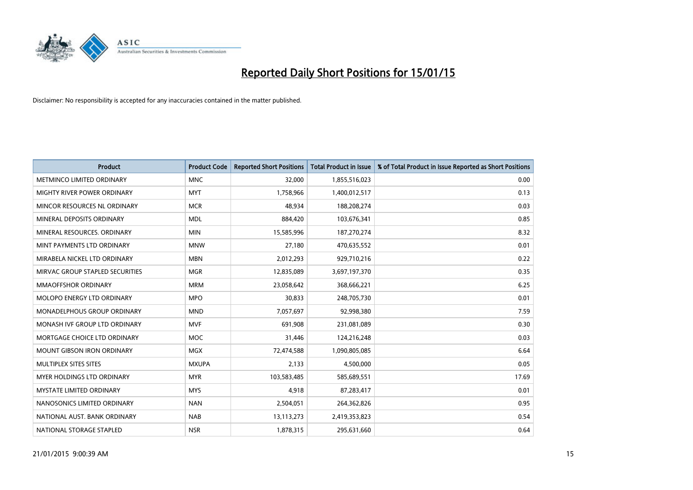

| <b>Product</b>                     | <b>Product Code</b> | <b>Reported Short Positions</b> | <b>Total Product in Issue</b> | % of Total Product in Issue Reported as Short Positions |
|------------------------------------|---------------------|---------------------------------|-------------------------------|---------------------------------------------------------|
| METMINCO LIMITED ORDINARY          | <b>MNC</b>          | 32,000                          | 1,855,516,023                 | 0.00                                                    |
| <b>MIGHTY RIVER POWER ORDINARY</b> | <b>MYT</b>          | 1,758,966                       | 1,400,012,517                 | 0.13                                                    |
| MINCOR RESOURCES NL ORDINARY       | <b>MCR</b>          | 48,934                          | 188,208,274                   | 0.03                                                    |
| MINERAL DEPOSITS ORDINARY          | <b>MDL</b>          | 884,420                         | 103,676,341                   | 0.85                                                    |
| MINERAL RESOURCES, ORDINARY        | <b>MIN</b>          | 15,585,996                      | 187,270,274                   | 8.32                                                    |
| MINT PAYMENTS LTD ORDINARY         | <b>MNW</b>          | 27,180                          | 470,635,552                   | 0.01                                                    |
| MIRABELA NICKEL LTD ORDINARY       | <b>MBN</b>          | 2,012,293                       | 929,710,216                   | 0.22                                                    |
| MIRVAC GROUP STAPLED SECURITIES    | <b>MGR</b>          | 12,835,089                      | 3,697,197,370                 | 0.35                                                    |
| <b>MMAOFFSHOR ORDINARY</b>         | <b>MRM</b>          | 23,058,642                      | 368,666,221                   | 6.25                                                    |
| MOLOPO ENERGY LTD ORDINARY         | <b>MPO</b>          | 30,833                          | 248,705,730                   | 0.01                                                    |
| MONADELPHOUS GROUP ORDINARY        | <b>MND</b>          | 7,057,697                       | 92,998,380                    | 7.59                                                    |
| MONASH IVF GROUP LTD ORDINARY      | <b>MVF</b>          | 691,908                         | 231,081,089                   | 0.30                                                    |
| MORTGAGE CHOICE LTD ORDINARY       | <b>MOC</b>          | 31,446                          | 124,216,248                   | 0.03                                                    |
| <b>MOUNT GIBSON IRON ORDINARY</b>  | <b>MGX</b>          | 72,474,588                      | 1,090,805,085                 | 6.64                                                    |
| MULTIPLEX SITES SITES              | <b>MXUPA</b>        | 2,133                           | 4,500,000                     | 0.05                                                    |
| MYER HOLDINGS LTD ORDINARY         | <b>MYR</b>          | 103,583,485                     | 585,689,551                   | 17.69                                                   |
| <b>MYSTATE LIMITED ORDINARY</b>    | <b>MYS</b>          | 4,918                           | 87,283,417                    | 0.01                                                    |
| NANOSONICS LIMITED ORDINARY        | <b>NAN</b>          | 2,504,051                       | 264,362,826                   | 0.95                                                    |
| NATIONAL AUST, BANK ORDINARY       | <b>NAB</b>          | 13,113,273                      | 2,419,353,823                 | 0.54                                                    |
| NATIONAL STORAGE STAPLED           | <b>NSR</b>          | 1,878,315                       | 295,631,660                   | 0.64                                                    |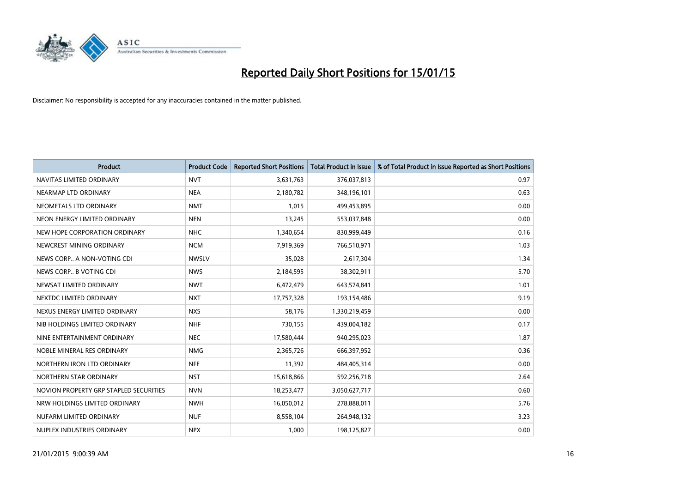

| <b>Product</b>                         | <b>Product Code</b> | <b>Reported Short Positions</b> | <b>Total Product in Issue</b> | % of Total Product in Issue Reported as Short Positions |
|----------------------------------------|---------------------|---------------------------------|-------------------------------|---------------------------------------------------------|
| NAVITAS LIMITED ORDINARY               | <b>NVT</b>          | 3,631,763                       | 376,037,813                   | 0.97                                                    |
| NEARMAP LTD ORDINARY                   | <b>NEA</b>          | 2,180,782                       | 348,196,101                   | 0.63                                                    |
| NEOMETALS LTD ORDINARY                 | <b>NMT</b>          | 1,015                           | 499,453,895                   | 0.00                                                    |
| NEON ENERGY LIMITED ORDINARY           | <b>NEN</b>          | 13,245                          | 553,037,848                   | 0.00                                                    |
| NEW HOPE CORPORATION ORDINARY          | <b>NHC</b>          | 1,340,654                       | 830,999,449                   | 0.16                                                    |
| NEWCREST MINING ORDINARY               | <b>NCM</b>          | 7,919,369                       | 766,510,971                   | 1.03                                                    |
| NEWS CORP A NON-VOTING CDI             | <b>NWSLV</b>        | 35,028                          | 2,617,304                     | 1.34                                                    |
| NEWS CORP B VOTING CDI                 | <b>NWS</b>          | 2,184,595                       | 38,302,911                    | 5.70                                                    |
| NEWSAT LIMITED ORDINARY                | <b>NWT</b>          | 6,472,479                       | 643,574,841                   | 1.01                                                    |
| NEXTDC LIMITED ORDINARY                | <b>NXT</b>          | 17,757,328                      | 193,154,486                   | 9.19                                                    |
| NEXUS ENERGY LIMITED ORDINARY          | <b>NXS</b>          | 58,176                          | 1,330,219,459                 | 0.00                                                    |
| NIB HOLDINGS LIMITED ORDINARY          | <b>NHF</b>          | 730,155                         | 439,004,182                   | 0.17                                                    |
| NINE ENTERTAINMENT ORDINARY            | <b>NEC</b>          | 17,580,444                      | 940,295,023                   | 1.87                                                    |
| NOBLE MINERAL RES ORDINARY             | <b>NMG</b>          | 2,365,726                       | 666,397,952                   | 0.36                                                    |
| NORTHERN IRON LTD ORDINARY             | <b>NFE</b>          | 11,392                          | 484,405,314                   | 0.00                                                    |
| NORTHERN STAR ORDINARY                 | <b>NST</b>          | 15,618,866                      | 592,256,718                   | 2.64                                                    |
| NOVION PROPERTY GRP STAPLED SECURITIES | <b>NVN</b>          | 18,253,477                      | 3,050,627,717                 | 0.60                                                    |
| NRW HOLDINGS LIMITED ORDINARY          | <b>NWH</b>          | 16,050,012                      | 278,888,011                   | 5.76                                                    |
| NUFARM LIMITED ORDINARY                | <b>NUF</b>          | 8,558,104                       | 264,948,132                   | 3.23                                                    |
| NUPLEX INDUSTRIES ORDINARY             | <b>NPX</b>          | 1,000                           | 198,125,827                   | 0.00                                                    |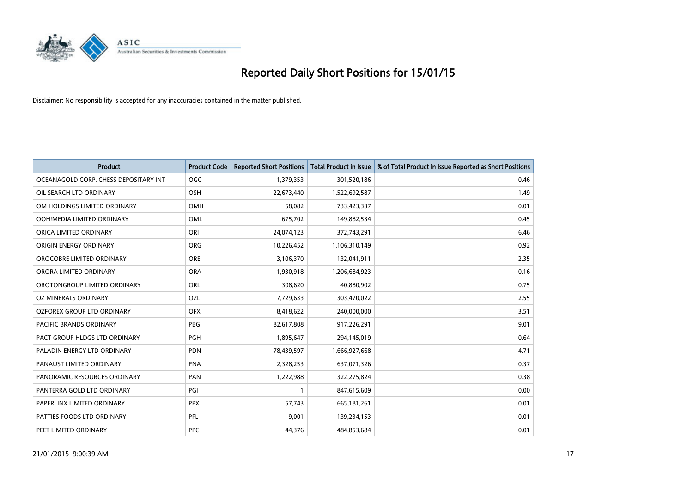

| <b>Product</b>                        | <b>Product Code</b> | <b>Reported Short Positions</b> | <b>Total Product in Issue</b> | % of Total Product in Issue Reported as Short Positions |
|---------------------------------------|---------------------|---------------------------------|-------------------------------|---------------------------------------------------------|
| OCEANAGOLD CORP. CHESS DEPOSITARY INT | <b>OGC</b>          | 1,379,353                       | 301,520,186                   | 0.46                                                    |
| OIL SEARCH LTD ORDINARY               | <b>OSH</b>          | 22,673,440                      | 1,522,692,587                 | 1.49                                                    |
| OM HOLDINGS LIMITED ORDINARY          | OMH                 | 58,082                          | 733,423,337                   | 0.01                                                    |
| OOH!MEDIA LIMITED ORDINARY            | <b>OML</b>          | 675,702                         | 149,882,534                   | 0.45                                                    |
| ORICA LIMITED ORDINARY                | ORI                 | 24,074,123                      | 372,743,291                   | 6.46                                                    |
| ORIGIN ENERGY ORDINARY                | ORG                 | 10,226,452                      | 1,106,310,149                 | 0.92                                                    |
| OROCOBRE LIMITED ORDINARY             | <b>ORE</b>          | 3,106,370                       | 132,041,911                   | 2.35                                                    |
| ORORA LIMITED ORDINARY                | <b>ORA</b>          | 1,930,918                       | 1,206,684,923                 | 0.16                                                    |
| OROTONGROUP LIMITED ORDINARY          | ORL                 | 308,620                         | 40,880,902                    | 0.75                                                    |
| <b>OZ MINERALS ORDINARY</b>           | <b>OZL</b>          | 7,729,633                       | 303,470,022                   | 2.55                                                    |
| OZFOREX GROUP LTD ORDINARY            | <b>OFX</b>          | 8,418,622                       | 240,000,000                   | 3.51                                                    |
| PACIFIC BRANDS ORDINARY               | <b>PBG</b>          | 82,617,808                      | 917,226,291                   | 9.01                                                    |
| PACT GROUP HLDGS LTD ORDINARY         | <b>PGH</b>          | 1,895,647                       | 294,145,019                   | 0.64                                                    |
| PALADIN ENERGY LTD ORDINARY           | <b>PDN</b>          | 78,439,597                      | 1,666,927,668                 | 4.71                                                    |
| PANAUST LIMITED ORDINARY              | <b>PNA</b>          | 2,328,253                       | 637,071,326                   | 0.37                                                    |
| PANORAMIC RESOURCES ORDINARY          | PAN                 | 1,222,988                       | 322,275,824                   | 0.38                                                    |
| PANTERRA GOLD LTD ORDINARY            | PGI                 | 1                               | 847,615,609                   | 0.00                                                    |
| PAPERLINX LIMITED ORDINARY            | <b>PPX</b>          | 57,743                          | 665, 181, 261                 | 0.01                                                    |
| PATTIES FOODS LTD ORDINARY            | <b>PFL</b>          | 9,001                           | 139,234,153                   | 0.01                                                    |
| PEET LIMITED ORDINARY                 | <b>PPC</b>          | 44,376                          | 484,853,684                   | 0.01                                                    |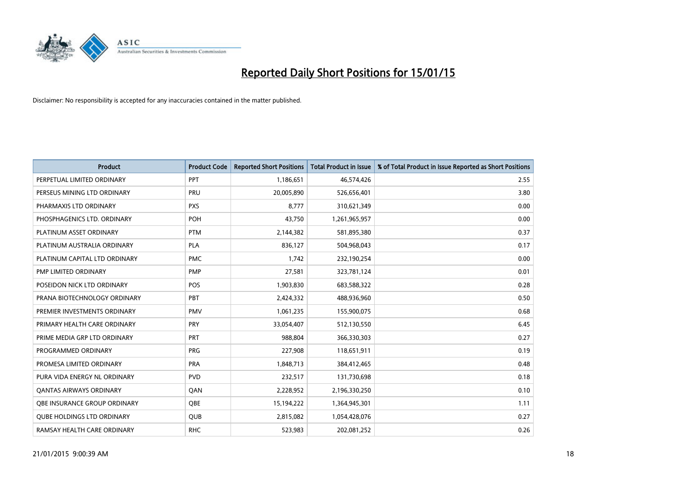

| <b>Product</b>                    | <b>Product Code</b> | <b>Reported Short Positions</b> | <b>Total Product in Issue</b> | % of Total Product in Issue Reported as Short Positions |
|-----------------------------------|---------------------|---------------------------------|-------------------------------|---------------------------------------------------------|
| PERPETUAL LIMITED ORDINARY        | PPT                 | 1,186,651                       | 46,574,426                    | 2.55                                                    |
| PERSEUS MINING LTD ORDINARY       | <b>PRU</b>          | 20,005,890                      | 526,656,401                   | 3.80                                                    |
| PHARMAXIS LTD ORDINARY            | <b>PXS</b>          | 8,777                           | 310,621,349                   | 0.00                                                    |
| PHOSPHAGENICS LTD. ORDINARY       | <b>POH</b>          | 43,750                          | 1,261,965,957                 | 0.00                                                    |
| PLATINUM ASSET ORDINARY           | <b>PTM</b>          | 2,144,382                       | 581,895,380                   | 0.37                                                    |
| PLATINUM AUSTRALIA ORDINARY       | <b>PLA</b>          | 836,127                         | 504,968,043                   | 0.17                                                    |
| PLATINUM CAPITAL LTD ORDINARY     | <b>PMC</b>          | 1,742                           | 232,190,254                   | 0.00                                                    |
| PMP LIMITED ORDINARY              | <b>PMP</b>          | 27,581                          | 323,781,124                   | 0.01                                                    |
| POSEIDON NICK LTD ORDINARY        | <b>POS</b>          | 1,903,830                       | 683,588,322                   | 0.28                                                    |
| PRANA BIOTECHNOLOGY ORDINARY      | <b>PBT</b>          | 2,424,332                       | 488,936,960                   | 0.50                                                    |
| PREMIER INVESTMENTS ORDINARY      | <b>PMV</b>          | 1,061,235                       | 155,900,075                   | 0.68                                                    |
| PRIMARY HEALTH CARE ORDINARY      | <b>PRY</b>          | 33,054,407                      | 512,130,550                   | 6.45                                                    |
| PRIME MEDIA GRP LTD ORDINARY      | <b>PRT</b>          | 988,804                         | 366,330,303                   | 0.27                                                    |
| PROGRAMMED ORDINARY               | <b>PRG</b>          | 227,908                         | 118,651,911                   | 0.19                                                    |
| PROMESA LIMITED ORDINARY          | <b>PRA</b>          | 1,848,713                       | 384,412,465                   | 0.48                                                    |
| PURA VIDA ENERGY NL ORDINARY      | <b>PVD</b>          | 232,517                         | 131,730,698                   | 0.18                                                    |
| <b>QANTAS AIRWAYS ORDINARY</b>    | QAN                 | 2,228,952                       | 2,196,330,250                 | 0.10                                                    |
| OBE INSURANCE GROUP ORDINARY      | <b>OBE</b>          | 15,194,222                      | 1,364,945,301                 | 1.11                                                    |
| <b>QUBE HOLDINGS LTD ORDINARY</b> | QUB                 | 2,815,082                       | 1,054,428,076                 | 0.27                                                    |
| RAMSAY HEALTH CARE ORDINARY       | <b>RHC</b>          | 523,983                         | 202,081,252                   | 0.26                                                    |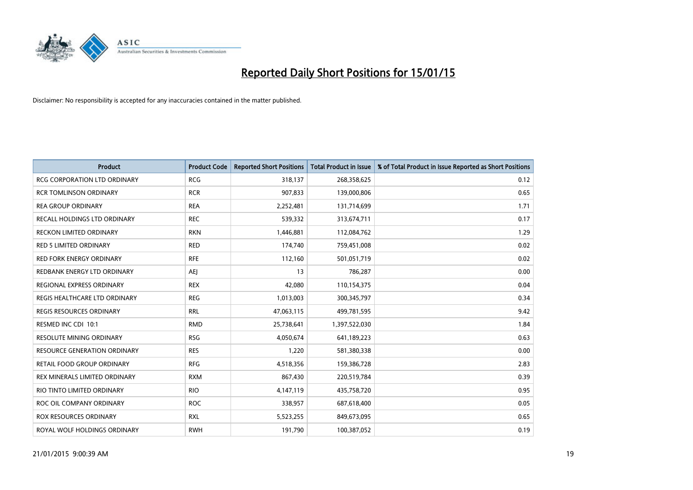

| <b>Product</b>                      | <b>Product Code</b> | <b>Reported Short Positions</b> | <b>Total Product in Issue</b> | % of Total Product in Issue Reported as Short Positions |
|-------------------------------------|---------------------|---------------------------------|-------------------------------|---------------------------------------------------------|
| <b>RCG CORPORATION LTD ORDINARY</b> | <b>RCG</b>          | 318,137                         | 268,358,625                   | 0.12                                                    |
| <b>RCR TOMLINSON ORDINARY</b>       | <b>RCR</b>          | 907,833                         | 139,000,806                   | 0.65                                                    |
| <b>REA GROUP ORDINARY</b>           | <b>REA</b>          | 2,252,481                       | 131,714,699                   | 1.71                                                    |
| RECALL HOLDINGS LTD ORDINARY        | <b>REC</b>          | 539,332                         | 313,674,711                   | 0.17                                                    |
| <b>RECKON LIMITED ORDINARY</b>      | <b>RKN</b>          | 1,446,881                       | 112,084,762                   | 1.29                                                    |
| <b>RED 5 LIMITED ORDINARY</b>       | <b>RED</b>          | 174,740                         | 759,451,008                   | 0.02                                                    |
| <b>RED FORK ENERGY ORDINARY</b>     | <b>RFE</b>          | 112,160                         | 501,051,719                   | 0.02                                                    |
| REDBANK ENERGY LTD ORDINARY         | AEJ                 | 13                              | 786,287                       | 0.00                                                    |
| REGIONAL EXPRESS ORDINARY           | <b>REX</b>          | 42,080                          | 110,154,375                   | 0.04                                                    |
| REGIS HEALTHCARE LTD ORDINARY       | <b>REG</b>          | 1,013,003                       | 300,345,797                   | 0.34                                                    |
| REGIS RESOURCES ORDINARY            | <b>RRL</b>          | 47,063,115                      | 499,781,595                   | 9.42                                                    |
| RESMED INC CDI 10:1                 | <b>RMD</b>          | 25,738,641                      | 1,397,522,030                 | 1.84                                                    |
| RESOLUTE MINING ORDINARY            | <b>RSG</b>          | 4,050,674                       | 641,189,223                   | 0.63                                                    |
| <b>RESOURCE GENERATION ORDINARY</b> | <b>RES</b>          | 1,220                           | 581,380,338                   | 0.00                                                    |
| RETAIL FOOD GROUP ORDINARY          | <b>RFG</b>          | 4,518,356                       | 159,386,728                   | 2.83                                                    |
| REX MINERALS LIMITED ORDINARY       | <b>RXM</b>          | 867,430                         | 220,519,784                   | 0.39                                                    |
| RIO TINTO LIMITED ORDINARY          | <b>RIO</b>          | 4,147,119                       | 435,758,720                   | 0.95                                                    |
| ROC OIL COMPANY ORDINARY            | <b>ROC</b>          | 338,957                         | 687,618,400                   | 0.05                                                    |
| ROX RESOURCES ORDINARY              | <b>RXL</b>          | 5,523,255                       | 849,673,095                   | 0.65                                                    |
| ROYAL WOLF HOLDINGS ORDINARY        | <b>RWH</b>          | 191,790                         | 100,387,052                   | 0.19                                                    |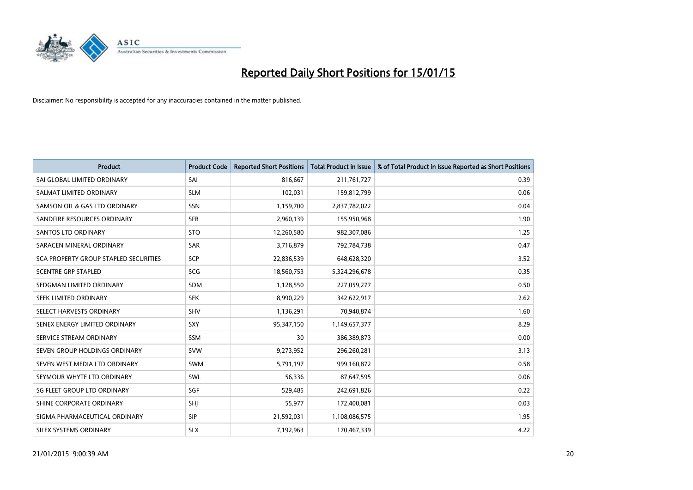

| <b>Product</b>                        | <b>Product Code</b> | <b>Reported Short Positions</b> | <b>Total Product in Issue</b> | % of Total Product in Issue Reported as Short Positions |
|---------------------------------------|---------------------|---------------------------------|-------------------------------|---------------------------------------------------------|
| SAI GLOBAL LIMITED ORDINARY           | SAI                 | 816,667                         | 211,761,727                   | 0.39                                                    |
| SALMAT LIMITED ORDINARY               | <b>SLM</b>          | 102,031                         | 159,812,799                   | 0.06                                                    |
| SAMSON OIL & GAS LTD ORDINARY         | <b>SSN</b>          | 1,159,700                       | 2,837,782,022                 | 0.04                                                    |
| SANDFIRE RESOURCES ORDINARY           | <b>SFR</b>          | 2,960,139                       | 155,950,968                   | 1.90                                                    |
| SANTOS LTD ORDINARY                   | <b>STO</b>          | 12,260,580                      | 982,307,086                   | 1.25                                                    |
| SARACEN MINERAL ORDINARY              | <b>SAR</b>          | 3,716,879                       | 792,784,738                   | 0.47                                                    |
| SCA PROPERTY GROUP STAPLED SECURITIES | <b>SCP</b>          | 22,836,539                      | 648,628,320                   | 3.52                                                    |
| <b>SCENTRE GRP STAPLED</b>            | <b>SCG</b>          | 18,560,753                      | 5,324,296,678                 | 0.35                                                    |
| SEDGMAN LIMITED ORDINARY              | <b>SDM</b>          | 1,128,550                       | 227,059,277                   | 0.50                                                    |
| SEEK LIMITED ORDINARY                 | <b>SEK</b>          | 8,990,229                       | 342,622,917                   | 2.62                                                    |
| SELECT HARVESTS ORDINARY              | SHV                 | 1,136,291                       | 70,940,874                    | 1.60                                                    |
| SENEX ENERGY LIMITED ORDINARY         | <b>SXY</b>          | 95,347,150                      | 1,149,657,377                 | 8.29                                                    |
| SERVICE STREAM ORDINARY               | <b>SSM</b>          | 30                              | 386,389,873                   | 0.00                                                    |
| SEVEN GROUP HOLDINGS ORDINARY         | <b>SVW</b>          | 9,273,952                       | 296,260,281                   | 3.13                                                    |
| SEVEN WEST MEDIA LTD ORDINARY         | SWM                 | 5,791,197                       | 999,160,872                   | 0.58                                                    |
| SEYMOUR WHYTE LTD ORDINARY            | SWL                 | 56,336                          | 87,647,595                    | 0.06                                                    |
| SG FLEET GROUP LTD ORDINARY           | SGF                 | 529,485                         | 242,691,826                   | 0.22                                                    |
| SHINE CORPORATE ORDINARY              | SHJ                 | 55,977                          | 172,400,081                   | 0.03                                                    |
| SIGMA PHARMACEUTICAL ORDINARY         | <b>SIP</b>          | 21,592,031                      | 1,108,086,575                 | 1.95                                                    |
| SILEX SYSTEMS ORDINARY                | <b>SLX</b>          | 7,192,963                       | 170,467,339                   | 4.22                                                    |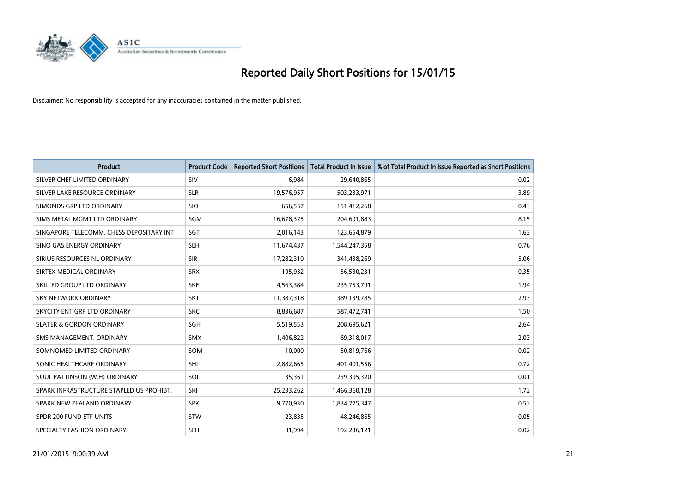

| <b>Product</b>                           | <b>Product Code</b> | <b>Reported Short Positions</b> | <b>Total Product in Issue</b> | % of Total Product in Issue Reported as Short Positions |
|------------------------------------------|---------------------|---------------------------------|-------------------------------|---------------------------------------------------------|
| SILVER CHEF LIMITED ORDINARY             | SIV                 | 6,984                           | 29,640,865                    | 0.02                                                    |
| SILVER LAKE RESOURCE ORDINARY            | <b>SLR</b>          | 19,576,957                      | 503,233,971                   | 3.89                                                    |
| SIMONDS GRP LTD ORDINARY                 | <b>SIO</b>          | 656,557                         | 151,412,268                   | 0.43                                                    |
| SIMS METAL MGMT LTD ORDINARY             | SGM                 | 16,678,325                      | 204,691,883                   | 8.15                                                    |
| SINGAPORE TELECOMM. CHESS DEPOSITARY INT | SGT                 | 2,016,143                       | 123,654,879                   | 1.63                                                    |
| SINO GAS ENERGY ORDINARY                 | <b>SEH</b>          | 11,674,437                      | 1,544,247,358                 | 0.76                                                    |
| SIRIUS RESOURCES NL ORDINARY             | <b>SIR</b>          | 17,282,310                      | 341,438,269                   | 5.06                                                    |
| SIRTEX MEDICAL ORDINARY                  | <b>SRX</b>          | 195,932                         | 56,530,231                    | 0.35                                                    |
| SKILLED GROUP LTD ORDINARY               | <b>SKE</b>          | 4,563,384                       | 235,753,791                   | 1.94                                                    |
| <b>SKY NETWORK ORDINARY</b>              | <b>SKT</b>          | 11,387,318                      | 389,139,785                   | 2.93                                                    |
| SKYCITY ENT GRP LTD ORDINARY             | <b>SKC</b>          | 8,836,687                       | 587,472,741                   | 1.50                                                    |
| <b>SLATER &amp; GORDON ORDINARY</b>      | SGH                 | 5,519,553                       | 208,695,621                   | 2.64                                                    |
| SMS MANAGEMENT. ORDINARY                 | <b>SMX</b>          | 1,406,822                       | 69,318,017                    | 2.03                                                    |
| SOMNOMED LIMITED ORDINARY                | SOM                 | 10,000                          | 50,819,766                    | 0.02                                                    |
| SONIC HEALTHCARE ORDINARY                | <b>SHL</b>          | 2,882,665                       | 401,401,556                   | 0.72                                                    |
| SOUL PATTINSON (W.H) ORDINARY            | SOL                 | 35,361                          | 239,395,320                   | 0.01                                                    |
| SPARK INFRASTRUCTURE STAPLED US PROHIBT. | SKI                 | 25,233,262                      | 1,466,360,128                 | 1.72                                                    |
| SPARK NEW ZEALAND ORDINARY               | <b>SPK</b>          | 9,770,930                       | 1,834,775,347                 | 0.53                                                    |
| SPDR 200 FUND ETF UNITS                  | <b>STW</b>          | 23,835                          | 48,246,865                    | 0.05                                                    |
| SPECIALTY FASHION ORDINARY               | <b>SFH</b>          | 31,994                          | 192,236,121                   | 0.02                                                    |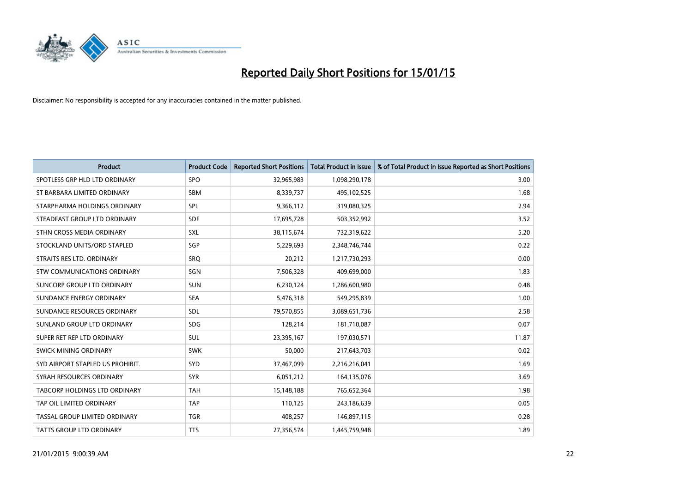

| <b>Product</b>                   | <b>Product Code</b> | <b>Reported Short Positions</b> | <b>Total Product in Issue</b> | % of Total Product in Issue Reported as Short Positions |
|----------------------------------|---------------------|---------------------------------|-------------------------------|---------------------------------------------------------|
| SPOTLESS GRP HLD LTD ORDINARY    | <b>SPO</b>          | 32,965,983                      | 1,098,290,178                 | 3.00                                                    |
| ST BARBARA LIMITED ORDINARY      | SBM                 | 8,339,737                       | 495,102,525                   | 1.68                                                    |
| STARPHARMA HOLDINGS ORDINARY     | <b>SPL</b>          | 9,366,112                       | 319,080,325                   | 2.94                                                    |
| STEADFAST GROUP LTD ORDINARY     | <b>SDF</b>          | 17,695,728                      | 503,352,992                   | 3.52                                                    |
| STHN CROSS MEDIA ORDINARY        | SXL                 | 38,115,674                      | 732,319,622                   | 5.20                                                    |
| STOCKLAND UNITS/ORD STAPLED      | SGP                 | 5,229,693                       | 2,348,746,744                 | 0.22                                                    |
| STRAITS RES LTD. ORDINARY        | <b>SRQ</b>          | 20,212                          | 1,217,730,293                 | 0.00                                                    |
| STW COMMUNICATIONS ORDINARY      | SGN                 | 7,506,328                       | 409,699,000                   | 1.83                                                    |
| SUNCORP GROUP LTD ORDINARY       | <b>SUN</b>          | 6,230,124                       | 1,286,600,980                 | 0.48                                                    |
| SUNDANCE ENERGY ORDINARY         | <b>SEA</b>          | 5,476,318                       | 549,295,839                   | 1.00                                                    |
| SUNDANCE RESOURCES ORDINARY      | <b>SDL</b>          | 79,570,855                      | 3,089,651,736                 | 2.58                                                    |
| SUNLAND GROUP LTD ORDINARY       | <b>SDG</b>          | 128,214                         | 181,710,087                   | 0.07                                                    |
| SUPER RET REP LTD ORDINARY       | SUL                 | 23,395,167                      | 197,030,571                   | 11.87                                                   |
| SWICK MINING ORDINARY            | <b>SWK</b>          | 50,000                          | 217,643,703                   | 0.02                                                    |
| SYD AIRPORT STAPLED US PROHIBIT. | SYD                 | 37,467,099                      | 2,216,216,041                 | 1.69                                                    |
| SYRAH RESOURCES ORDINARY         | <b>SYR</b>          | 6,051,212                       | 164,135,076                   | 3.69                                                    |
| TABCORP HOLDINGS LTD ORDINARY    | <b>TAH</b>          | 15,148,188                      | 765,652,364                   | 1.98                                                    |
| TAP OIL LIMITED ORDINARY         | <b>TAP</b>          | 110,125                         | 243,186,639                   | 0.05                                                    |
| TASSAL GROUP LIMITED ORDINARY    | <b>TGR</b>          | 408,257                         | 146,897,115                   | 0.28                                                    |
| TATTS GROUP LTD ORDINARY         | <b>TTS</b>          | 27,356,574                      | 1,445,759,948                 | 1.89                                                    |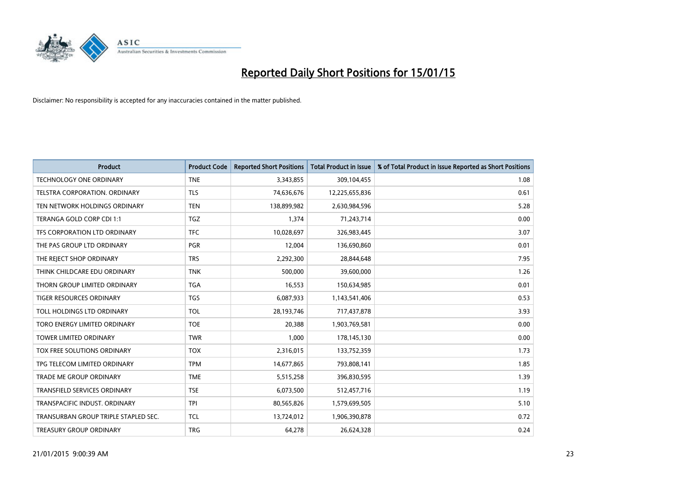

| <b>Product</b>                       | <b>Product Code</b> | <b>Reported Short Positions</b> | <b>Total Product in Issue</b> | % of Total Product in Issue Reported as Short Positions |
|--------------------------------------|---------------------|---------------------------------|-------------------------------|---------------------------------------------------------|
| <b>TECHNOLOGY ONE ORDINARY</b>       | <b>TNE</b>          | 3,343,855                       | 309,104,455                   | 1.08                                                    |
| TELSTRA CORPORATION. ORDINARY        | <b>TLS</b>          | 74,636,676                      | 12,225,655,836                | 0.61                                                    |
| TEN NETWORK HOLDINGS ORDINARY        | <b>TEN</b>          | 138,899,982                     | 2,630,984,596                 | 5.28                                                    |
| TERANGA GOLD CORP CDI 1:1            | <b>TGZ</b>          | 1,374                           | 71,243,714                    | 0.00                                                    |
| TFS CORPORATION LTD ORDINARY         | <b>TFC</b>          | 10,028,697                      | 326,983,445                   | 3.07                                                    |
| THE PAS GROUP LTD ORDINARY           | <b>PGR</b>          | 12,004                          | 136,690,860                   | 0.01                                                    |
| THE REJECT SHOP ORDINARY             | <b>TRS</b>          | 2,292,300                       | 28,844,648                    | 7.95                                                    |
| THINK CHILDCARE EDU ORDINARY         | <b>TNK</b>          | 500,000                         | 39,600,000                    | 1.26                                                    |
| THORN GROUP LIMITED ORDINARY         | <b>TGA</b>          | 16,553                          | 150,634,985                   | 0.01                                                    |
| TIGER RESOURCES ORDINARY             | <b>TGS</b>          | 6,087,933                       | 1,143,541,406                 | 0.53                                                    |
| TOLL HOLDINGS LTD ORDINARY           | <b>TOL</b>          | 28,193,746                      | 717,437,878                   | 3.93                                                    |
| TORO ENERGY LIMITED ORDINARY         | <b>TOE</b>          | 20,388                          | 1,903,769,581                 | 0.00                                                    |
| <b>TOWER LIMITED ORDINARY</b>        | <b>TWR</b>          | 1,000                           | 178,145,130                   | 0.00                                                    |
| TOX FREE SOLUTIONS ORDINARY          | <b>TOX</b>          | 2,316,015                       | 133,752,359                   | 1.73                                                    |
| TPG TELECOM LIMITED ORDINARY         | <b>TPM</b>          | 14,677,865                      | 793,808,141                   | 1.85                                                    |
| <b>TRADE ME GROUP ORDINARY</b>       | <b>TME</b>          | 5,515,258                       | 396,830,595                   | 1.39                                                    |
| TRANSFIELD SERVICES ORDINARY         | <b>TSE</b>          | 6,073,500                       | 512,457,716                   | 1.19                                                    |
| TRANSPACIFIC INDUST, ORDINARY        | <b>TPI</b>          | 80,565,826                      | 1,579,699,505                 | 5.10                                                    |
| TRANSURBAN GROUP TRIPLE STAPLED SEC. | <b>TCL</b>          | 13,724,012                      | 1,906,390,878                 | 0.72                                                    |
| <b>TREASURY GROUP ORDINARY</b>       | <b>TRG</b>          | 64,278                          | 26,624,328                    | 0.24                                                    |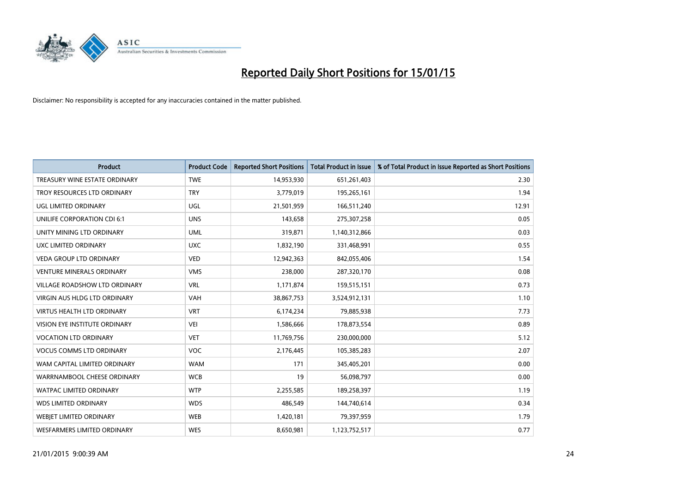

| <b>Product</b>                       | <b>Product Code</b> | <b>Reported Short Positions</b> | <b>Total Product in Issue</b> | % of Total Product in Issue Reported as Short Positions |
|--------------------------------------|---------------------|---------------------------------|-------------------------------|---------------------------------------------------------|
| TREASURY WINE ESTATE ORDINARY        | <b>TWE</b>          | 14,953,930                      | 651,261,403                   | 2.30                                                    |
| TROY RESOURCES LTD ORDINARY          | <b>TRY</b>          | 3,779,019                       | 195,265,161                   | 1.94                                                    |
| UGL LIMITED ORDINARY                 | UGL                 | 21,501,959                      | 166,511,240                   | 12.91                                                   |
| UNILIFE CORPORATION CDI 6:1          | <b>UNS</b>          | 143,658                         | 275,307,258                   | 0.05                                                    |
| UNITY MINING LTD ORDINARY            | <b>UML</b>          | 319,871                         | 1,140,312,866                 | 0.03                                                    |
| UXC LIMITED ORDINARY                 | <b>UXC</b>          | 1,832,190                       | 331,468,991                   | 0.55                                                    |
| <b>VEDA GROUP LTD ORDINARY</b>       | <b>VED</b>          | 12,942,363                      | 842,055,406                   | 1.54                                                    |
| <b>VENTURE MINERALS ORDINARY</b>     | <b>VMS</b>          | 238,000                         | 287,320,170                   | 0.08                                                    |
| VILLAGE ROADSHOW LTD ORDINARY        | <b>VRL</b>          | 1,171,874                       | 159,515,151                   | 0.73                                                    |
| VIRGIN AUS HLDG LTD ORDINARY         | <b>VAH</b>          | 38,867,753                      | 3,524,912,131                 | 1.10                                                    |
| VIRTUS HEALTH LTD ORDINARY           | <b>VRT</b>          | 6,174,234                       | 79,885,938                    | 7.73                                                    |
| <b>VISION EYE INSTITUTE ORDINARY</b> | <b>VEI</b>          | 1,586,666                       | 178,873,554                   | 0.89                                                    |
| <b>VOCATION LTD ORDINARY</b>         | <b>VET</b>          | 11,769,756                      | 230,000,000                   | 5.12                                                    |
| <b>VOCUS COMMS LTD ORDINARY</b>      | <b>VOC</b>          | 2,176,445                       | 105,385,283                   | 2.07                                                    |
| WAM CAPITAL LIMITED ORDINARY         | <b>WAM</b>          | 171                             | 345,405,201                   | 0.00                                                    |
| WARRNAMBOOL CHEESE ORDINARY          | <b>WCB</b>          | 19                              | 56,098,797                    | 0.00                                                    |
| WATPAC LIMITED ORDINARY              | <b>WTP</b>          | 2,255,585                       | 189,258,397                   | 1.19                                                    |
| <b>WDS LIMITED ORDINARY</b>          | <b>WDS</b>          | 486,549                         | 144,740,614                   | 0.34                                                    |
| WEBJET LIMITED ORDINARY              | <b>WEB</b>          | 1,420,181                       | 79,397,959                    | 1.79                                                    |
| WESFARMERS LIMITED ORDINARY          | <b>WES</b>          | 8,650,981                       | 1,123,752,517                 | 0.77                                                    |